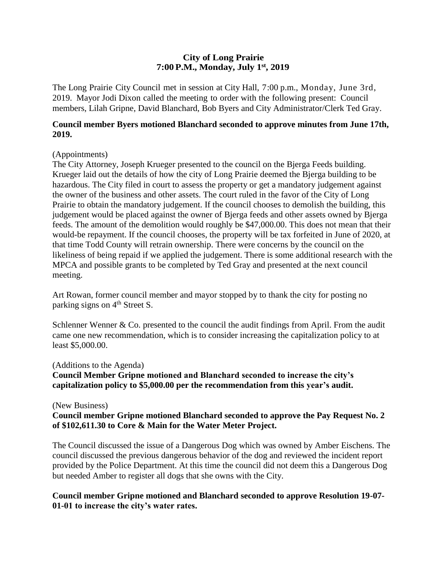# **City of Long Prairie 7:00P.M., Monday, July 1st, 2019**

The Long Prairie City Council met in session at City Hall, 7:00 p.m., Monday, June 3rd, 2019. Mayor Jodi Dixon called the meeting to order with the following present: Council members, Lilah Gripne, David Blanchard, Bob Byers and City Administrator/Clerk Ted Gray.

### **Council member Byers motioned Blanchard seconded to approve minutes from June 17th, 2019.**

### (Appointments)

The City Attorney, Joseph Krueger presented to the council on the Bjerga Feeds building. Krueger laid out the details of how the city of Long Prairie deemed the Bjerga building to be hazardous. The City filed in court to assess the property or get a mandatory judgement against the owner of the business and other assets. The court ruled in the favor of the City of Long Prairie to obtain the mandatory judgement. If the council chooses to demolish the building, this judgement would be placed against the owner of Bjerga feeds and other assets owned by Bjerga feeds. The amount of the demolition would roughly be \$47,000.00. This does not mean that their would-be repayment. If the council chooses, the property will be tax forfeited in June of 2020, at that time Todd County will retrain ownership. There were concerns by the council on the likeliness of being repaid if we applied the judgement. There is some additional research with the MPCA and possible grants to be completed by Ted Gray and presented at the next council meeting.

Art Rowan, former council member and mayor stopped by to thank the city for posting no parking signs on 4<sup>th</sup> Street S.

Schlenner Wenner & Co. presented to the council the audit findings from April. From the audit came one new recommendation, which is to consider increasing the capitalization policy to at least \$5,000.00.

#### (Additions to the Agenda)

**Council Member Gripne motioned and Blanchard seconded to increase the city's capitalization policy to \$5,000.00 per the recommendation from this year's audit.** 

#### (New Business)

### **Council member Gripne motioned Blanchard seconded to approve the Pay Request No. 2 of \$102,611.30 to Core & Main for the Water Meter Project.**

The Council discussed the issue of a Dangerous Dog which was owned by Amber Eischens. The council discussed the previous dangerous behavior of the dog and reviewed the incident report provided by the Police Department. At this time the council did not deem this a Dangerous Dog but needed Amber to register all dogs that she owns with the City.

### **Council member Gripne motioned and Blanchard seconded to approve Resolution 19-07- 01-01 to increase the city's water rates.**